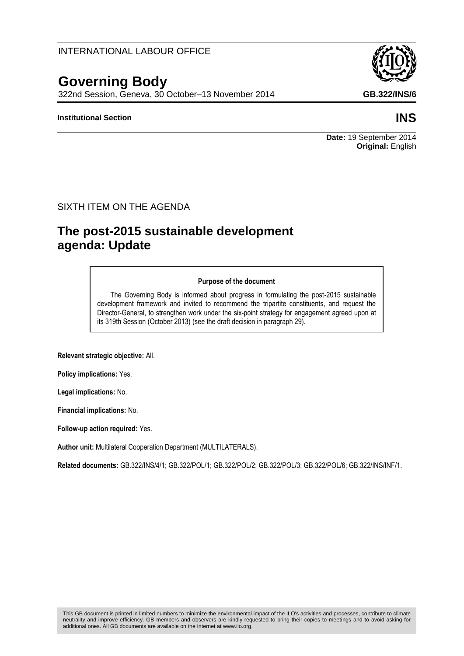## INTERNATIONAL LABOUR OFFICE

# **Governing Body**

322nd Session, Geneva, 30 October–13 November 2014 **GB.322/INS/6**

#### **Institutional Section INS**

**Date:** 19 September 2014 **Original:** English

#### SIXTH ITEM ON THE AGENDA

# **The post-2015 sustainable development agenda: Update**

#### **Purpose of the document**

The Governing Body is informed about progress in formulating the post-2015 sustainable development framework and invited to recommend the tripartite constituents, and request the Director-General, to strengthen work under the six-point strategy for engagement agreed upon at its 319th Session (October 2013) (see the draft decision in paragraph 29).

**Relevant strategic objective:** All.

**Policy implications:** Yes.

**Legal implications:** No.

**Financial implications:** No.

**Follow-up action required:** Yes.

**Author unit:** Multilateral Cooperation Department (MULTILATERALS).

**Related documents:** GB.322/INS/4/1; GB.322/POL/1; GB.322/POL/2; GB.322/POL/3; GB.322/POL/6; GB.322/INS/INF/1.

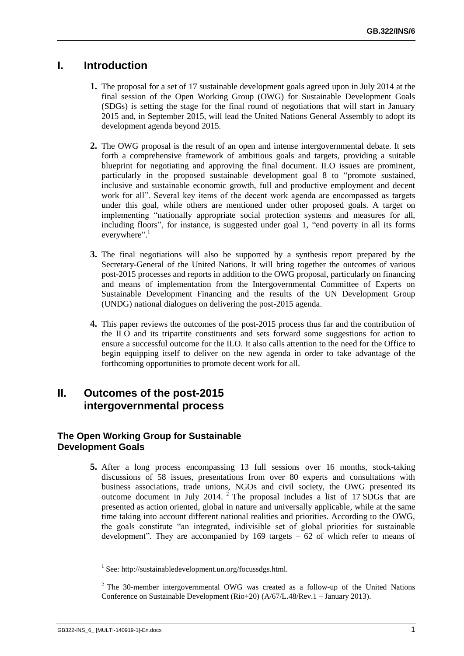# **I. Introduction**

- **1.** The proposal for a set of 17 sustainable development goals agreed upon in July 2014 at the final session of the Open Working Group (OWG) for Sustainable Development Goals (SDGs) is setting the stage for the final round of negotiations that will start in January 2015 and, in September 2015, will lead the United Nations General Assembly to adopt its development agenda beyond 2015.
- **2.** The OWG proposal is the result of an open and intense intergovernmental debate. It sets forth a comprehensive framework of ambitious goals and targets, providing a suitable blueprint for negotiating and approving the final document. ILO issues are prominent, particularly in the proposed sustainable development goal 8 to "promote sustained, inclusive and sustainable economic growth, full and productive employment and decent work for all". Several key items of the decent work agenda are encompassed as targets under this goal, while others are mentioned under other proposed goals. A target on implementing "nationally appropriate social protection systems and measures for all, including floors", for instance, is suggested under goal 1, "end poverty in all its forms everywhere".<sup>1</sup>
- **3.** The final negotiations will also be supported by a synthesis report prepared by the Secretary-General of the United Nations. It will bring together the outcomes of various post-2015 processes and reports in addition to the OWG proposal, particularly on financing and means of implementation from the Intergovernmental Committee of Experts on Sustainable Development Financing and the results of the UN Development Group (UNDG) national dialogues on delivering the post-2015 agenda.
- **4.** This paper reviews the outcomes of the post-2015 process thus far and the contribution of the ILO and its tripartite constituents and sets forward some suggestions for action to ensure a successful outcome for the ILO. It also calls attention to the need for the Office to begin equipping itself to deliver on the new agenda in order to take advantage of the forthcoming opportunities to promote decent work for all.

# **II. Outcomes of the post-2015 intergovernmental process**

#### **The Open Working Group for Sustainable Development Goals**

**5.** After a long process encompassing 13 full sessions over 16 months, stock-taking discussions of 58 issues, presentations from over 80 experts and consultations with business associations, trade unions, NGOs and civil society, the OWG presented its outcome document in July 2014. <sup>2</sup> The proposal includes a list of 17 SDGs that are presented as action oriented, global in nature and universally applicable, while at the same time taking into account different national realities and priorities. According to the OWG, the goals constitute "an integrated, indivisible set of global priorities for sustainable development". They are accompanied by  $169$  targets  $-62$  of which refer to means of

<sup>&</sup>lt;sup>1</sup> See: http://sustainabledevelopment.un.org/focussdgs.html.

<sup>&</sup>lt;sup>2</sup> The 30-member intergovernmental OWG was created as a follow-up of the United Nations Conference on Sustainable Development (Rio+20) (A/67/L.48/Rev.1 – January 2013).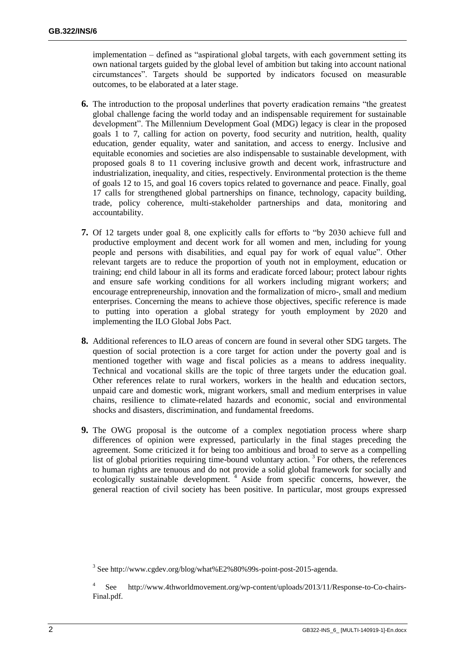implementation – defined as "aspirational global targets, with each government setting its own national targets guided by the global level of ambition but taking into account national circumstances". Targets should be supported by indicators focused on measurable outcomes, to be elaborated at a later stage.

- **6.** The introduction to the proposal underlines that poverty eradication remains "the greatest global challenge facing the world today and an indispensable requirement for sustainable development". The Millennium Development Goal (MDG) legacy is clear in the proposed goals 1 to 7, calling for action on poverty, food security and nutrition, health, quality education, gender equality, water and sanitation, and access to energy. Inclusive and equitable economies and societies are also indispensable to sustainable development, with proposed goals 8 to 11 covering inclusive growth and decent work, infrastructure and industrialization, inequality, and cities, respectively. Environmental protection is the theme of goals 12 to 15, and goal 16 covers topics related to governance and peace. Finally, goal 17 calls for strengthened global partnerships on finance, technology, capacity building, trade, policy coherence, multi-stakeholder partnerships and data, monitoring and accountability.
- **7.** Of 12 targets under goal 8, one explicitly calls for efforts to "by 2030 achieve full and productive employment and decent work for all women and men, including for young people and persons with disabilities, and equal pay for work of equal value". Other relevant targets are to reduce the proportion of youth not in employment, education or training; end child labour in all its forms and eradicate forced labour; protect labour rights and ensure safe working conditions for all workers including migrant workers; and encourage entrepreneurship, innovation and the formalization of micro-, small and medium enterprises. Concerning the means to achieve those objectives, specific reference is made to putting into operation a global strategy for youth employment by 2020 and implementing the ILO Global Jobs Pact.
- **8.** Additional references to ILO areas of concern are found in several other SDG targets. The question of social protection is a core target for action under the poverty goal and is mentioned together with wage and fiscal policies as a means to address inequality. Technical and vocational skills are the topic of three targets under the education goal. Other references relate to rural workers, workers in the health and education sectors, unpaid care and domestic work, migrant workers, small and medium enterprises in value chains, resilience to climate-related hazards and economic, social and environmental shocks and disasters, discrimination, and fundamental freedoms.
- **9.** The OWG proposal is the outcome of a complex negotiation process where sharp differences of opinion were expressed, particularly in the final stages preceding the agreement. Some criticized it for being too ambitious and broad to serve as a compelling list of global priorities requiring time-bound voluntary action.<sup>3</sup> For others, the references to human rights are tenuous and do not provide a solid global framework for socially and ecologically sustainable development.<sup>4</sup> Aside from specific concerns, however, the general reaction of civil society has been positive. In particular, most groups expressed

<sup>&</sup>lt;sup>3</sup> See http://www.cgdev.org/blog/what%E2%80%99s-point-post-2015-agenda.

<sup>4</sup> See http://www.4thworldmovement.org/wp-content/uploads/2013/11/Response-to-Co-chairs-Final.pdf.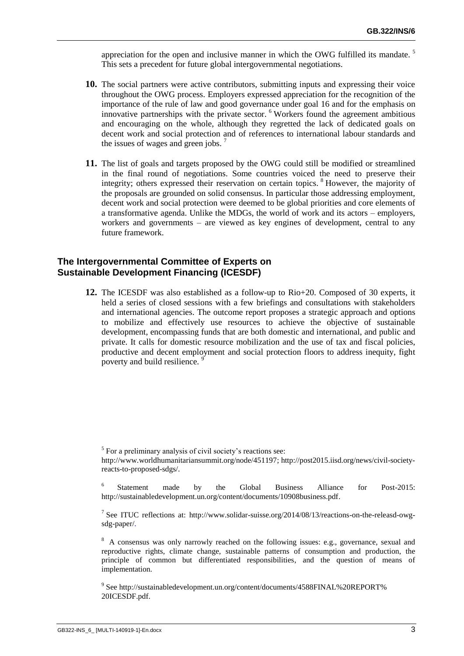appreciation for the open and inclusive manner in which the OWG fulfilled its mandate.<sup>5</sup> This sets a precedent for future global intergovernmental negotiations.

- **10.** The social partners were active contributors, submitting inputs and expressing their voice throughout the OWG process. Employers expressed appreciation for the recognition of the importance of the rule of law and good governance under goal 16 and for the emphasis on innovative partnerships with the private sector. <sup>6</sup> Workers found the agreement ambitious and encouraging on the whole, although they regretted the lack of dedicated goals on decent work and social protection and of references to international labour standards and the issues of wages and green jobs.<sup>7</sup>
- **11.** The list of goals and targets proposed by the OWG could still be modified or streamlined in the final round of negotiations. Some countries voiced the need to preserve their integrity; others expressed their reservation on certain topics. <sup>8</sup> However, the majority of the proposals are grounded on solid consensus. In particular those addressing employment, decent work and social protection were deemed to be global priorities and core elements of a transformative agenda. Unlike the MDGs, the world of work and its actors – employers, workers and governments – are viewed as key engines of development, central to any future framework.

#### **The Intergovernmental Committee of Experts on Sustainable Development Financing (ICESDF)**

**12.** The ICESDF was also established as a follow-up to Rio+20. Composed of 30 experts, it held a series of closed sessions with a few briefings and consultations with stakeholders and international agencies. The outcome report proposes a strategic approach and options to mobilize and effectively use resources to achieve the objective of sustainable development, encompassing funds that are both domestic and international, and public and private. It calls for domestic resource mobilization and the use of tax and fiscal policies, productive and decent employment and social protection floors to address inequity, fight poverty and build resilience.<sup>9</sup>

<sup>5</sup> For a preliminary analysis of civil society's reactions see:

http://www.worldhumanitariansummit.org/node/451197; http://post2015.iisd.org/news/civil-societyreacts-to-proposed-sdgs/.

<sup>6</sup> Statement made by the Global Business Alliance for Post-2015: http://sustainabledevelopment.un.org/content/documents/10908business.pdf.

<sup>&</sup>lt;sup>7</sup> See ITUC reflections at: http://www.solidar-suisse.org/2014/08/13/reactions-on-the-releasd-owgsdg-paper/.

<sup>&</sup>lt;sup>8</sup> A consensus was only narrowly reached on the following issues: e.g., governance, sexual and reproductive rights, climate change, sustainable patterns of consumption and production, the principle of common but differentiated responsibilities, and the question of means of implementation.

<sup>&</sup>lt;sup>9</sup> See http://sustainabledevelopment.un.org/content/documents/4588FINAL%20REPORT% 20ICESDF.pdf.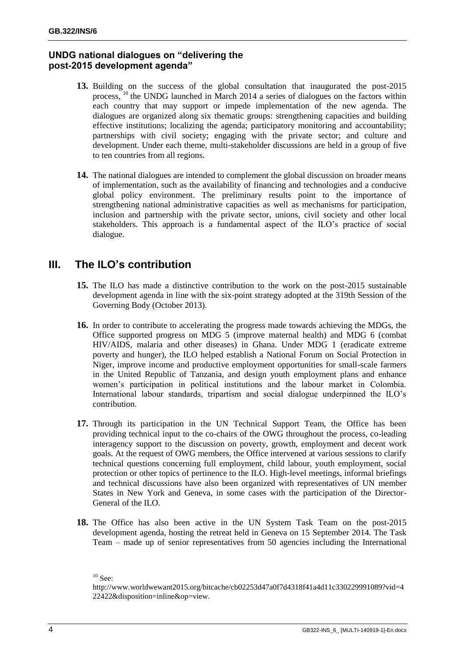### **UNDG national dialogues on "delivering the post-2015 development agenda"**

- **13.** Building on the success of the global consultation that inaugurated the post-2015 process, <sup>10</sup> the UNDG launched in March 2014 a series of dialogues on the factors within each country that may support or impede implementation of the new agenda. The dialogues are organized along six thematic groups: strengthening capacities and building effective institutions; localizing the agenda; participatory monitoring and accountability; partnerships with civil society; engaging with the private sector; and culture and development. Under each theme, multi-stakeholder discussions are held in a group of five to ten countries from all regions.
- **14.** The national dialogues are intended to complement the global discussion on broader means of implementation, such as the availability of financing and technologies and a conducive global policy environment. The preliminary results point to the importance of strengthening national administrative capacities as well as mechanisms for participation, inclusion and partnership with the private sector, unions, civil society and other local stakeholders. This approach is a fundamental aspect of the ILO's practice of social dialogue.

# **III. The ILO's contribution**

- **15.** The ILO has made a distinctive contribution to the work on the post-2015 sustainable development agenda in line with the six-point strategy adopted at the 319th Session of the Governing Body (October 2013).
- **16.** In order to contribute to accelerating the progress made towards achieving the MDGs, the Office supported progress on MDG 5 (improve maternal health) and MDG 6 (combat HIV/AIDS, malaria and other diseases) in Ghana. Under MDG 1 (eradicate extreme poverty and hunger), the ILO helped establish a National Forum on Social Protection in Niger, improve income and productive employment opportunities for small-scale farmers in the United Republic of Tanzania, and design youth employment plans and enhance women's participation in political institutions and the labour market in Colombia. International labour standards, tripartism and social dialogue underpinned the ILO's contribution.
- **17.** Through its participation in the UN Technical Support Team, the Office has been providing technical input to the co-chairs of the OWG throughout the process, co-leading interagency support to the discussion on poverty, growth, employment and decent work goals. At the request of OWG members, the Office intervened at various sessions to clarify technical questions concerning full employment, child labour, youth employment, social protection or other topics of pertinence to the ILO. High-level meetings, informal briefings and technical discussions have also been organized with representatives of UN member States in New York and Geneva, in some cases with the participation of the Director-General of the ILO.
- **18.** The Office has also been active in the UN System Task Team on the post-2015 development agenda, hosting the retreat held in Geneva on 15 September 2014. The Task Team – made up of senior representatives from 50 agencies including the International

 $10$  See:

http://www.worldwewant2015.org/bitcache/cb02253d47a0f7d4318f41a4d11c330229991089?vid=4 22422&disposition=inline&op=view.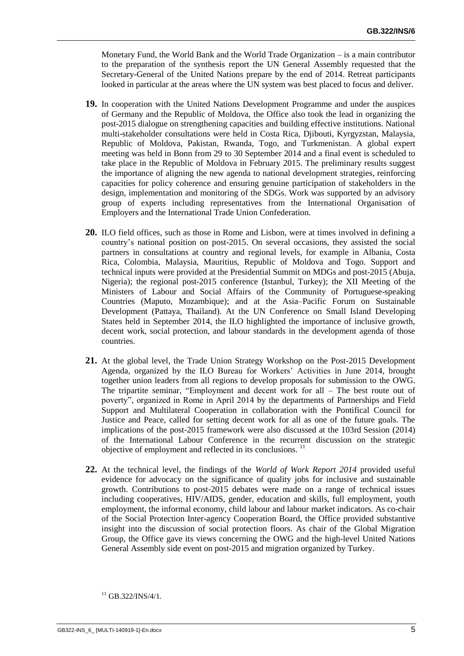Monetary Fund, the World Bank and the World Trade Organization – is a main contributor to the preparation of the synthesis report the UN General Assembly requested that the Secretary-General of the United Nations prepare by the end of 2014. Retreat participants looked in particular at the areas where the UN system was best placed to focus and deliver.

- **19.** In cooperation with the United Nations Development Programme and under the auspices of Germany and the Republic of Moldova, the Office also took the lead in organizing the post-2015 dialogue on strengthening capacities and building effective institutions. National multi-stakeholder consultations were held in Costa Rica, Djibouti, Kyrgyzstan, Malaysia, Republic of Moldova, Pakistan, Rwanda, Togo, and Turkmenistan. A global expert meeting was held in Bonn from 29 to 30 September 2014 and a final event is scheduled to take place in the Republic of Moldova in February 2015. The preliminary results suggest the importance of aligning the new agenda to national development strategies, reinforcing capacities for policy coherence and ensuring genuine participation of stakeholders in the design, implementation and monitoring of the SDGs. Work was supported by an advisory group of experts including representatives from the International Organisation of Employers and the International Trade Union Confederation.
- **20.** ILO field offices, such as those in Rome and Lisbon, were at times involved in defining a country's national position on post-2015. On several occasions, they assisted the social partners in consultations at country and regional levels, for example in Albania, Costa Rica, Colombia, Malaysia, Mauritius, Republic of Moldova and Togo. Support and technical inputs were provided at the Presidential Summit on MDGs and post-2015 (Abuja, Nigeria); the regional post-2015 conference (Istanbul, Turkey); the XII Meeting of the Ministers of Labour and Social Affairs of the Community of Portuguese-speaking Countries (Maputo, Mozambique); and at the Asia–Pacific Forum on Sustainable Development (Pattaya, Thailand). At the UN Conference on Small Island Developing States held in September 2014, the ILO highlighted the importance of inclusive growth, decent work, social protection, and labour standards in the development agenda of those countries.
- **21.** At the global level, the Trade Union Strategy Workshop on the Post-2015 Development Agenda, organized by the ILO Bureau for Workers' Activities in June 2014, brought together union leaders from all regions to develop proposals for submission to the OWG. The tripartite seminar, "Employment and decent work for all – The best route out of poverty", organized in Rome in April 2014 by the departments of Partnerships and Field Support and Multilateral Cooperation in collaboration with the Pontifical Council for Justice and Peace, called for setting decent work for all as one of the future goals. The implications of the post-2015 framework were also discussed at the 103rd Session (2014) of the International Labour Conference in the recurrent discussion on the strategic objective of employment and reflected in its conclusions. <sup>11</sup>
- **22.** At the technical level, the findings of the *World of Work Report 2014* provided useful evidence for advocacy on the significance of quality jobs for inclusive and sustainable growth. Contributions to post-2015 debates were made on a range of technical issues including cooperatives, HIV/AIDS, gender, education and skills, full employment, youth employment, the informal economy, child labour and labour market indicators. As co-chair of the Social Protection Inter-agency Cooperation Board, the Office provided substantive insight into the discussion of social protection floors. As chair of the Global Migration Group, the Office gave its views concerning the OWG and the high-level United Nations General Assembly side event on post-2015 and migration organized by Turkey.

 $11$  GB.322/INS/4/1.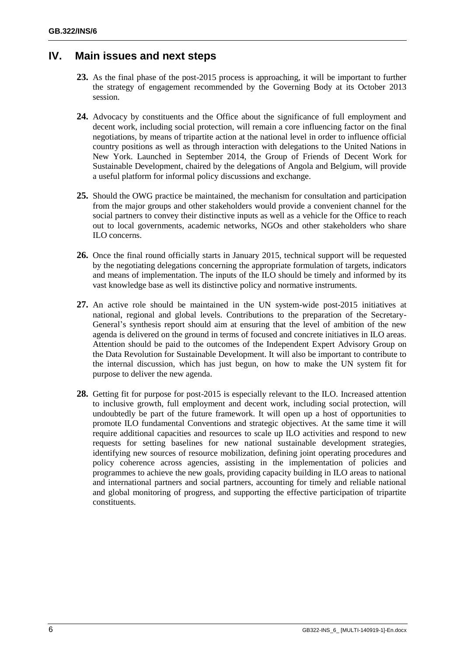# **IV. Main issues and next steps**

- **23.** As the final phase of the post-2015 process is approaching, it will be important to further the strategy of engagement recommended by the Governing Body at its October 2013 session.
- **24.** Advocacy by constituents and the Office about the significance of full employment and decent work, including social protection, will remain a core influencing factor on the final negotiations, by means of tripartite action at the national level in order to influence official country positions as well as through interaction with delegations to the United Nations in New York. Launched in September 2014, the Group of Friends of Decent Work for Sustainable Development, chaired by the delegations of Angola and Belgium, will provide a useful platform for informal policy discussions and exchange.
- **25.** Should the OWG practice be maintained, the mechanism for consultation and participation from the major groups and other stakeholders would provide a convenient channel for the social partners to convey their distinctive inputs as well as a vehicle for the Office to reach out to local governments, academic networks, NGOs and other stakeholders who share ILO concerns.
- **26.** Once the final round officially starts in January 2015, technical support will be requested by the negotiating delegations concerning the appropriate formulation of targets, indicators and means of implementation. The inputs of the ILO should be timely and informed by its vast knowledge base as well its distinctive policy and normative instruments.
- **27.** An active role should be maintained in the UN system-wide post-2015 initiatives at national, regional and global levels. Contributions to the preparation of the Secretary-General's synthesis report should aim at ensuring that the level of ambition of the new agenda is delivered on the ground in terms of focused and concrete initiatives in ILO areas. Attention should be paid to the outcomes of the Independent Expert Advisory Group on the Data Revolution for Sustainable Development. It will also be important to contribute to the internal discussion, which has just begun, on how to make the UN system fit for purpose to deliver the new agenda.
- **28.** Getting fit for purpose for post-2015 is especially relevant to the ILO. Increased attention to inclusive growth, full employment and decent work, including social protection, will undoubtedly be part of the future framework. It will open up a host of opportunities to promote ILO fundamental Conventions and strategic objectives. At the same time it will require additional capacities and resources to scale up ILO activities and respond to new requests for setting baselines for new national sustainable development strategies, identifying new sources of resource mobilization, defining joint operating procedures and policy coherence across agencies, assisting in the implementation of policies and programmes to achieve the new goals, providing capacity building in ILO areas to national and international partners and social partners, accounting for timely and reliable national and global monitoring of progress, and supporting the effective participation of tripartite constituents.